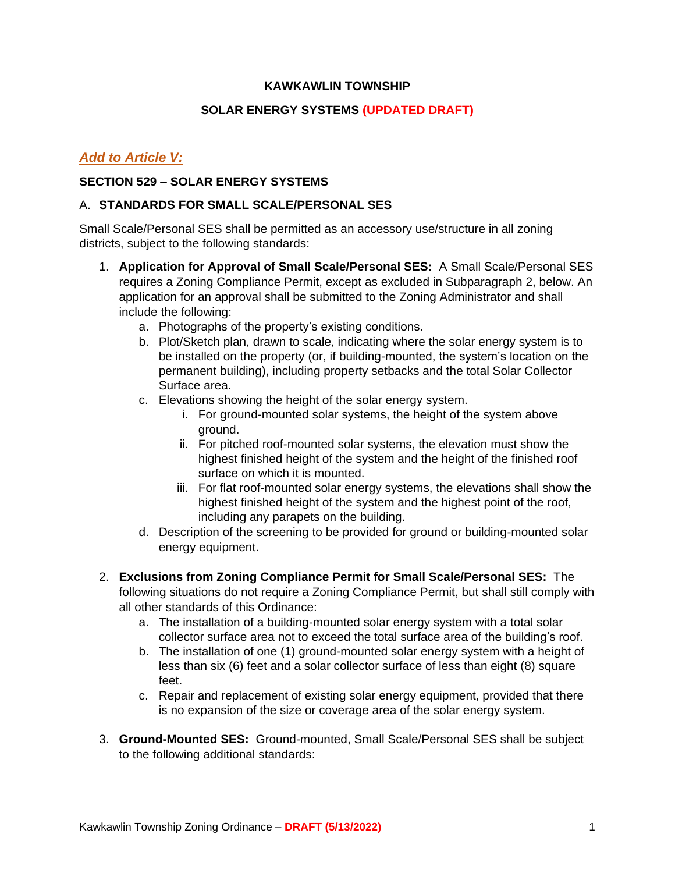## **KAWKAWLIN TOWNSHIP**

## **SOLAR ENERGY SYSTEMS (UPDATED DRAFT)**

# *Add to Article V:*

## **SECTION 529 – SOLAR ENERGY SYSTEMS**

#### A. **STANDARDS FOR SMALL SCALE/PERSONAL SES**

Small Scale/Personal SES shall be permitted as an accessory use/structure in all zoning districts, subject to the following standards:

- 1. **Application for Approval of Small Scale/Personal SES:** A Small Scale/Personal SES requires a Zoning Compliance Permit, except as excluded in Subparagraph 2, below. An application for an approval shall be submitted to the Zoning Administrator and shall include the following:
	- a. Photographs of the property's existing conditions.
	- b. Plot/Sketch plan, drawn to scale, indicating where the solar energy system is to be installed on the property (or, if building-mounted, the system's location on the permanent building), including property setbacks and the total Solar Collector Surface area.
	- c. Elevations showing the height of the solar energy system.
		- i. For ground-mounted solar systems, the height of the system above ground.
		- ii. For pitched roof-mounted solar systems, the elevation must show the highest finished height of the system and the height of the finished roof surface on which it is mounted.
		- iii. For flat roof-mounted solar energy systems, the elevations shall show the highest finished height of the system and the highest point of the roof, including any parapets on the building.
	- d. Description of the screening to be provided for ground or building-mounted solar energy equipment.
- 2. **Exclusions from Zoning Compliance Permit for Small Scale/Personal SES:** The following situations do not require a Zoning Compliance Permit, but shall still comply with all other standards of this Ordinance:
	- a. The installation of a building-mounted solar energy system with a total solar collector surface area not to exceed the total surface area of the building's roof.
	- b. The installation of one (1) ground-mounted solar energy system with a height of less than six (6) feet and a solar collector surface of less than eight (8) square feet.
	- c. Repair and replacement of existing solar energy equipment, provided that there is no expansion of the size or coverage area of the solar energy system.
- 3. **Ground-Mounted SES:** Ground-mounted, Small Scale/Personal SES shall be subject to the following additional standards: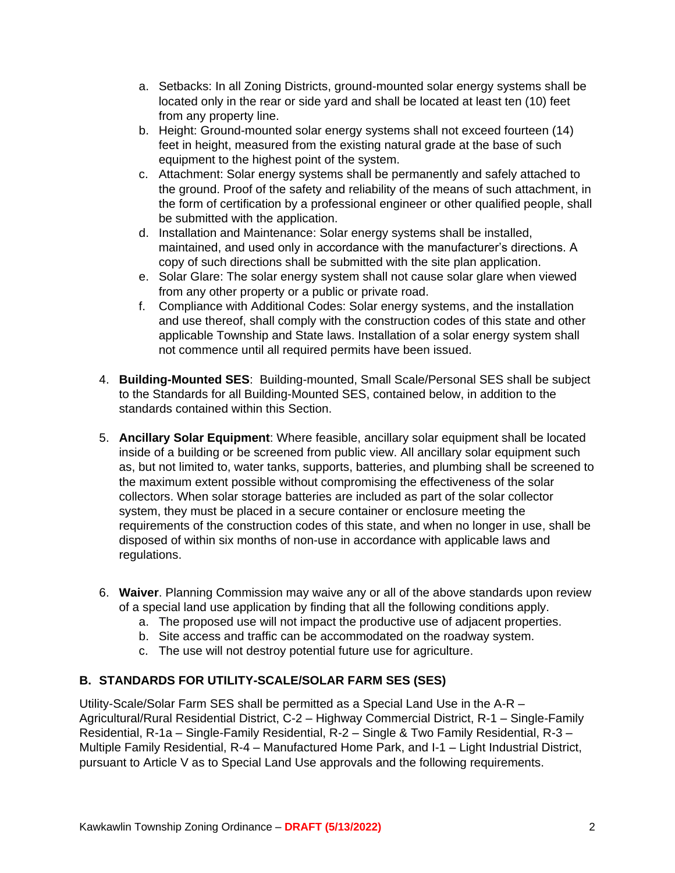- a. Setbacks: In all Zoning Districts, ground-mounted solar energy systems shall be located only in the rear or side yard and shall be located at least ten (10) feet from any property line.
- b. Height: Ground-mounted solar energy systems shall not exceed fourteen (14) feet in height, measured from the existing natural grade at the base of such equipment to the highest point of the system.
- c. Attachment: Solar energy systems shall be permanently and safely attached to the ground. Proof of the safety and reliability of the means of such attachment, in the form of certification by a professional engineer or other qualified people, shall be submitted with the application.
- d. Installation and Maintenance: Solar energy systems shall be installed, maintained, and used only in accordance with the manufacturer's directions. A copy of such directions shall be submitted with the site plan application.
- e. Solar Glare: The solar energy system shall not cause solar glare when viewed from any other property or a public or private road.
- f. Compliance with Additional Codes: Solar energy systems, and the installation and use thereof, shall comply with the construction codes of this state and other applicable Township and State laws. Installation of a solar energy system shall not commence until all required permits have been issued.
- 4. **Building-Mounted SES**: Building-mounted, Small Scale/Personal SES shall be subject to the Standards for all Building-Mounted SES, contained below, in addition to the standards contained within this Section.
- 5. **Ancillary Solar Equipment**: Where feasible, ancillary solar equipment shall be located inside of a building or be screened from public view. All ancillary solar equipment such as, but not limited to, water tanks, supports, batteries, and plumbing shall be screened to the maximum extent possible without compromising the effectiveness of the solar collectors. When solar storage batteries are included as part of the solar collector system, they must be placed in a secure container or enclosure meeting the requirements of the construction codes of this state, and when no longer in use, shall be disposed of within six months of non-use in accordance with applicable laws and regulations.
- 6. **Waiver**. Planning Commission may waive any or all of the above standards upon review of a special land use application by finding that all the following conditions apply.
	- a. The proposed use will not impact the productive use of adjacent properties.
	- b. Site access and traffic can be accommodated on the roadway system.
	- c. The use will not destroy potential future use for agriculture.

# **B. STANDARDS FOR UTILITY-SCALE/SOLAR FARM SES (SES)**

Utility-Scale/Solar Farm SES shall be permitted as a Special Land Use in the A-R – Agricultural/Rural Residential District, C-2 – Highway Commercial District, R-1 – Single-Family Residential, R-1a – Single-Family Residential, R-2 – Single & Two Family Residential, R-3 – Multiple Family Residential, R-4 – Manufactured Home Park, and I-1 – Light Industrial District, pursuant to Article V as to Special Land Use approvals and the following requirements.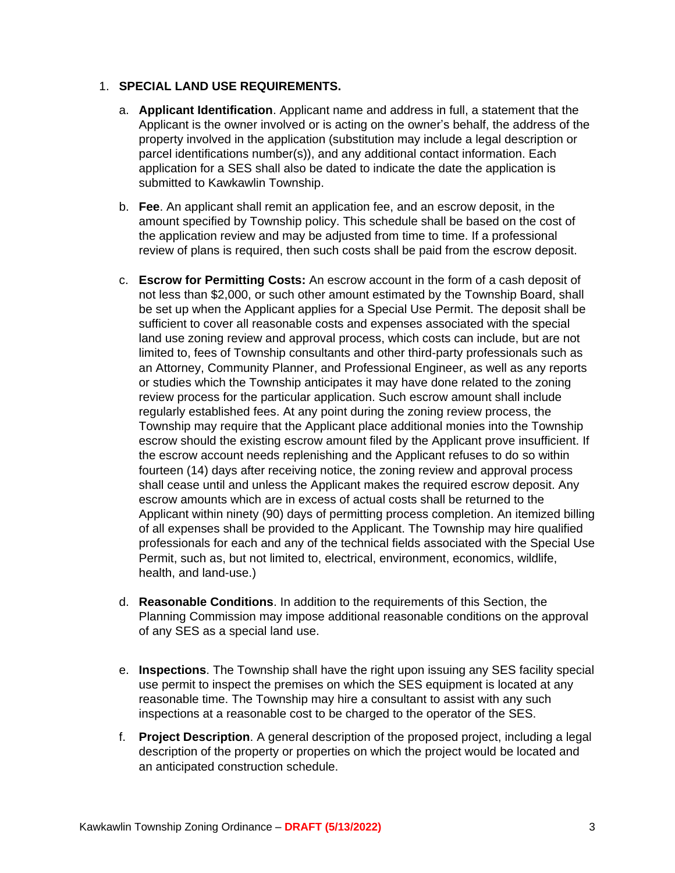## 1. **SPECIAL LAND USE REQUIREMENTS.**

- a. **Applicant Identification**. Applicant name and address in full, a statement that the Applicant is the owner involved or is acting on the owner's behalf, the address of the property involved in the application (substitution may include a legal description or parcel identifications number(s)), and any additional contact information. Each application for a SES shall also be dated to indicate the date the application is submitted to Kawkawlin Township.
- b. **Fee**. An applicant shall remit an application fee, and an escrow deposit, in the amount specified by Township policy. This schedule shall be based on the cost of the application review and may be adjusted from time to time. If a professional review of plans is required, then such costs shall be paid from the escrow deposit.
- c. **Escrow for Permitting Costs:** An escrow account in the form of a cash deposit of not less than \$2,000, or such other amount estimated by the Township Board, shall be set up when the Applicant applies for a Special Use Permit. The deposit shall be sufficient to cover all reasonable costs and expenses associated with the special land use zoning review and approval process, which costs can include, but are not limited to, fees of Township consultants and other third-party professionals such as an Attorney, Community Planner, and Professional Engineer, as well as any reports or studies which the Township anticipates it may have done related to the zoning review process for the particular application. Such escrow amount shall include regularly established fees. At any point during the zoning review process, the Township may require that the Applicant place additional monies into the Township escrow should the existing escrow amount filed by the Applicant prove insufficient. If the escrow account needs replenishing and the Applicant refuses to do so within fourteen (14) days after receiving notice, the zoning review and approval process shall cease until and unless the Applicant makes the required escrow deposit. Any escrow amounts which are in excess of actual costs shall be returned to the Applicant within ninety (90) days of permitting process completion. An itemized billing of all expenses shall be provided to the Applicant. The Township may hire qualified professionals for each and any of the technical fields associated with the Special Use Permit, such as, but not limited to, electrical, environment, economics, wildlife, health, and land-use.)
- d. **Reasonable Conditions**. In addition to the requirements of this Section, the Planning Commission may impose additional reasonable conditions on the approval of any SES as a special land use.
- e. **Inspections**. The Township shall have the right upon issuing any SES facility special use permit to inspect the premises on which the SES equipment is located at any reasonable time. The Township may hire a consultant to assist with any such inspections at a reasonable cost to be charged to the operator of the SES.
- f. **Project Description**. A general description of the proposed project, including a legal description of the property or properties on which the project would be located and an anticipated construction schedule.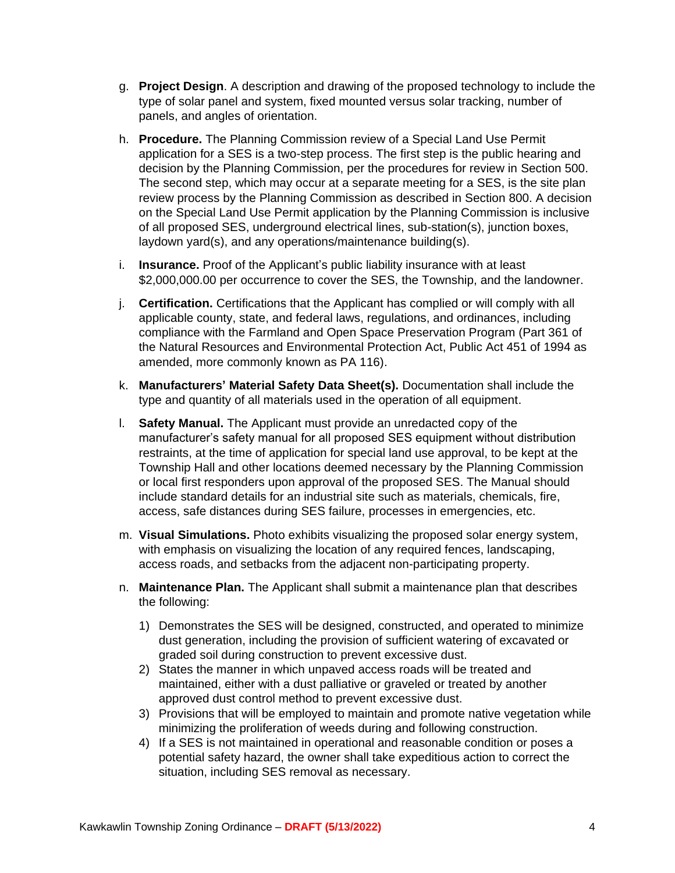- g. **Project Design**. A description and drawing of the proposed technology to include the type of solar panel and system, fixed mounted versus solar tracking, number of panels, and angles of orientation.
- h. **Procedure.** The Planning Commission review of a Special Land Use Permit application for a SES is a two-step process. The first step is the public hearing and decision by the Planning Commission, per the procedures for review in Section 500. The second step, which may occur at a separate meeting for a SES, is the site plan review process by the Planning Commission as described in Section 800. A decision on the Special Land Use Permit application by the Planning Commission is inclusive of all proposed SES, underground electrical lines, sub-station(s), junction boxes, laydown yard(s), and any operations/maintenance building(s).
- i. **Insurance.** Proof of the Applicant's public liability insurance with at least \$2,000,000.00 per occurrence to cover the SES, the Township, and the landowner.
- j. **Certification.** Certifications that the Applicant has complied or will comply with all applicable county, state, and federal laws, regulations, and ordinances, including compliance with the Farmland and Open Space Preservation Program (Part 361 of the Natural Resources and Environmental Protection Act, Public Act 451 of 1994 as amended, more commonly known as PA 116).
- k. **Manufacturers' Material Safety Data Sheet(s).** Documentation shall include the type and quantity of all materials used in the operation of all equipment.
- l. **Safety Manual.** The Applicant must provide an unredacted copy of the manufacturer's safety manual for all proposed SES equipment without distribution restraints, at the time of application for special land use approval, to be kept at the Township Hall and other locations deemed necessary by the Planning Commission or local first responders upon approval of the proposed SES. The Manual should include standard details for an industrial site such as materials, chemicals, fire, access, safe distances during SES failure, processes in emergencies, etc.
- m. **Visual Simulations.** Photo exhibits visualizing the proposed solar energy system, with emphasis on visualizing the location of any required fences, landscaping, access roads, and setbacks from the adjacent non-participating property.
- n. **Maintenance Plan.** The Applicant shall submit a maintenance plan that describes the following:
	- 1) Demonstrates the SES will be designed, constructed, and operated to minimize dust generation, including the provision of sufficient watering of excavated or graded soil during construction to prevent excessive dust.
	- 2) States the manner in which unpaved access roads will be treated and maintained, either with a dust palliative or graveled or treated by another approved dust control method to prevent excessive dust.
	- 3) Provisions that will be employed to maintain and promote native vegetation while minimizing the proliferation of weeds during and following construction.
	- 4) If a SES is not maintained in operational and reasonable condition or poses a potential safety hazard, the owner shall take expeditious action to correct the situation, including SES removal as necessary.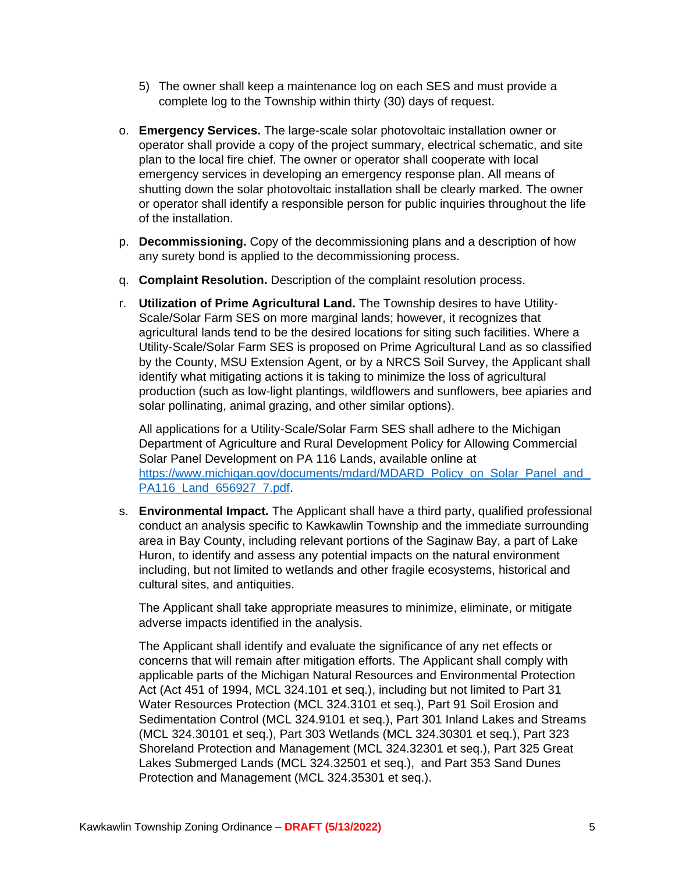- 5) The owner shall keep a maintenance log on each SES and must provide a complete log to the Township within thirty (30) days of request.
- o. **Emergency Services.** The large-scale solar photovoltaic installation owner or operator shall provide a copy of the project summary, electrical schematic, and site plan to the local fire chief. The owner or operator shall cooperate with local emergency services in developing an emergency response plan. All means of shutting down the solar photovoltaic installation shall be clearly marked. The owner or operator shall identify a responsible person for public inquiries throughout the life of the installation.
- p. **Decommissioning.** Copy of the decommissioning plans and a description of how any surety bond is applied to the decommissioning process.
- q. **Complaint Resolution.** Description of the complaint resolution process.
- r. **Utilization of Prime Agricultural Land.** The Township desires to have Utility-Scale/Solar Farm SES on more marginal lands; however, it recognizes that agricultural lands tend to be the desired locations for siting such facilities. Where a Utility-Scale/Solar Farm SES is proposed on Prime Agricultural Land as so classified by the County, MSU Extension Agent, or by a NRCS Soil Survey, the Applicant shall identify what mitigating actions it is taking to minimize the loss of agricultural production (such as low-light plantings, wildflowers and sunflowers, bee apiaries and solar pollinating, animal grazing, and other similar options).

All applications for a Utility-Scale/Solar Farm SES shall adhere to the Michigan Department of Agriculture and Rural Development Policy for Allowing Commercial Solar Panel Development on PA 116 Lands, available online at [https://www.michigan.gov/documents/mdard/MDARD\\_Policy\\_on\\_Solar\\_Panel\\_and\\_](https://www.michigan.gov/documents/mdard/MDARD_Policy_on_Solar_Panel_and_PA116_Land_656927_7.pdf) PA116 Land 656927 7.pdf.

s. **Environmental Impact.** The Applicant shall have a third party, qualified professional conduct an analysis specific to Kawkawlin Township and the immediate surrounding area in Bay County, including relevant portions of the Saginaw Bay, a part of Lake Huron, to identify and assess any potential impacts on the natural environment including, but not limited to wetlands and other fragile ecosystems, historical and cultural sites, and antiquities.

The Applicant shall take appropriate measures to minimize, eliminate, or mitigate adverse impacts identified in the analysis.

The Applicant shall identify and evaluate the significance of any net effects or concerns that will remain after mitigation efforts. The Applicant shall comply with applicable parts of the Michigan Natural Resources and Environmental Protection Act (Act 451 of 1994, MCL 324.101 et seq.), including but not limited to Part 31 Water Resources Protection (MCL 324.3101 et seq.), Part 91 Soil Erosion and Sedimentation Control (MCL 324.9101 et seq.), Part 301 Inland Lakes and Streams (MCL 324.30101 et seq.), Part 303 Wetlands (MCL 324.30301 et seq.), Part 323 Shoreland Protection and Management (MCL 324.32301 et seq.), Part 325 Great Lakes Submerged Lands (MCL 324.32501 et seq.), and Part 353 Sand Dunes Protection and Management (MCL 324.35301 et seq.).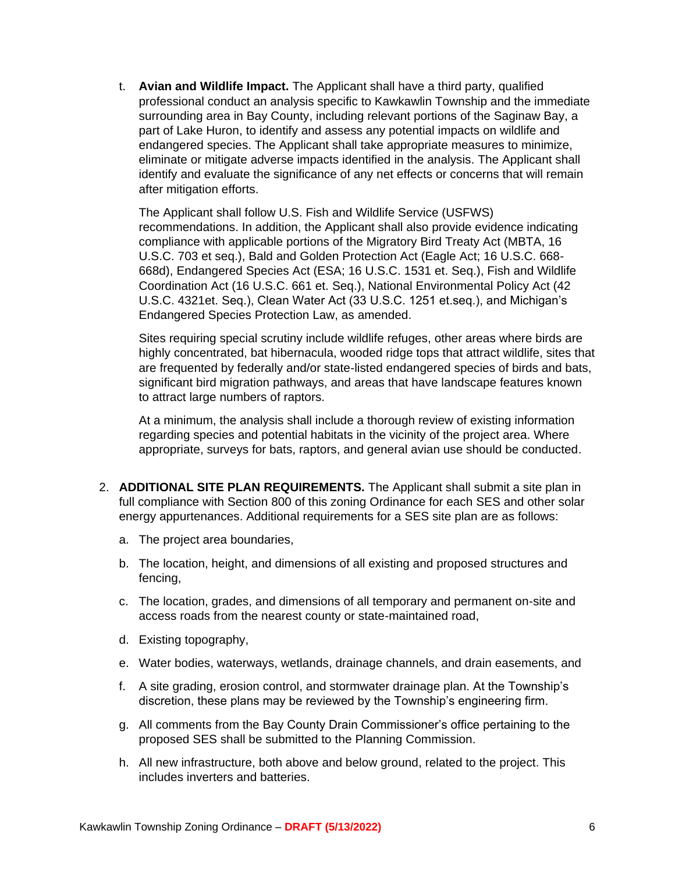t. **Avian and Wildlife Impact.** The Applicant shall have a third party, qualified professional conduct an analysis specific to Kawkawlin Township and the immediate surrounding area in Bay County, including relevant portions of the Saginaw Bay, a part of Lake Huron, to identify and assess any potential impacts on wildlife and endangered species. The Applicant shall take appropriate measures to minimize, eliminate or mitigate adverse impacts identified in the analysis. The Applicant shall identify and evaluate the significance of any net effects or concerns that will remain after mitigation efforts.

The Applicant shall follow U.S. Fish and Wildlife Service (USFWS) recommendations. In addition, the Applicant shall also provide evidence indicating compliance with applicable portions of the Migratory Bird Treaty Act (MBTA, 16 U.S.C. 703 et seq.), Bald and Golden Protection Act (Eagle Act; 16 U.S.C. 668- 668d), Endangered Species Act (ESA; 16 U.S.C. 1531 et. Seq.), Fish and Wildlife Coordination Act (16 U.S.C. 661 et. Seq.), National Environmental Policy Act (42 U.S.C. 4321et. Seq.), Clean Water Act (33 U.S.C. 1251 et.seq.), and Michigan's Endangered Species Protection Law, as amended.

Sites requiring special scrutiny include wildlife refuges, other areas where birds are highly concentrated, bat hibernacula, wooded ridge tops that attract wildlife, sites that are frequented by federally and/or state-listed endangered species of birds and bats, significant bird migration pathways, and areas that have landscape features known to attract large numbers of raptors.

At a minimum, the analysis shall include a thorough review of existing information regarding species and potential habitats in the vicinity of the project area. Where appropriate, surveys for bats, raptors, and general avian use should be conducted.

- 2. **ADDITIONAL SITE PLAN REQUIREMENTS.** The Applicant shall submit a site plan in full compliance with Section 800 of this zoning Ordinance for each SES and other solar energy appurtenances. Additional requirements for a SES site plan are as follows:
	- a. The project area boundaries,
	- b. The location, height, and dimensions of all existing and proposed structures and fencing,
	- c. The location, grades, and dimensions of all temporary and permanent on-site and access roads from the nearest county or state-maintained road,
	- d. Existing topography,
	- e. Water bodies, waterways, wetlands, drainage channels, and drain easements, and
	- f. A site grading, erosion control, and stormwater drainage plan. At the Township's discretion, these plans may be reviewed by the Township's engineering firm.
	- g. All comments from the Bay County Drain Commissioner's office pertaining to the proposed SES shall be submitted to the Planning Commission.
	- h. All new infrastructure, both above and below ground, related to the project. This includes inverters and batteries.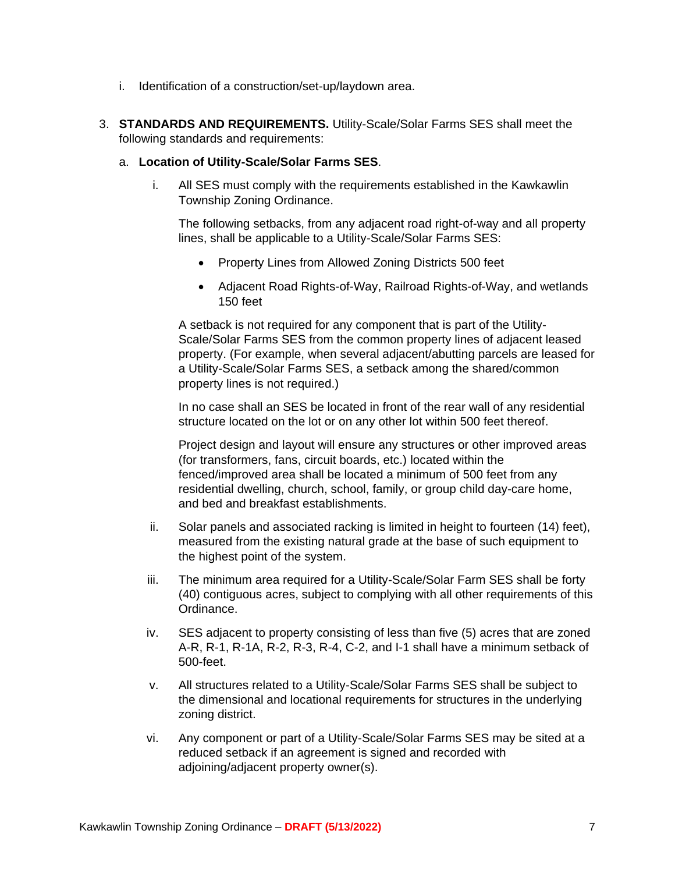- i. Identification of a construction/set-up/laydown area.
- 3. **STANDARDS AND REQUIREMENTS.** Utility-Scale/Solar Farms SES shall meet the following standards and requirements:

#### a. **Location of Utility-Scale/Solar Farms SES**.

i. All SES must comply with the requirements established in the Kawkawlin Township Zoning Ordinance.

The following setbacks, from any adjacent road right-of-way and all property lines, shall be applicable to a Utility-Scale/Solar Farms SES:

- Property Lines from Allowed Zoning Districts 500 feet
- Adjacent Road Rights-of-Way, Railroad Rights-of-Way, and wetlands 150 feet

A setback is not required for any component that is part of the Utility-Scale/Solar Farms SES from the common property lines of adjacent leased property. (For example, when several adjacent/abutting parcels are leased for a Utility-Scale/Solar Farms SES, a setback among the shared/common property lines is not required.)

In no case shall an SES be located in front of the rear wall of any residential structure located on the lot or on any other lot within 500 feet thereof.

Project design and layout will ensure any structures or other improved areas (for transformers, fans, circuit boards, etc.) located within the fenced/improved area shall be located a minimum of 500 feet from any residential dwelling, church, school, family, or group child day-care home, and bed and breakfast establishments.

- ii. Solar panels and associated racking is limited in height to fourteen (14) feet), measured from the existing natural grade at the base of such equipment to the highest point of the system.
- iii. The minimum area required for a Utility-Scale/Solar Farm SES shall be forty (40) contiguous acres, subject to complying with all other requirements of this Ordinance.
- iv. SES adjacent to property consisting of less than five (5) acres that are zoned A-R, R-1, R-1A, R-2, R-3, R-4, C-2, and I-1 shall have a minimum setback of 500-feet.
- v. All structures related to a Utility-Scale/Solar Farms SES shall be subject to the dimensional and locational requirements for structures in the underlying zoning district.
- vi. Any component or part of a Utility-Scale/Solar Farms SES may be sited at a reduced setback if an agreement is signed and recorded with adjoining/adjacent property owner(s).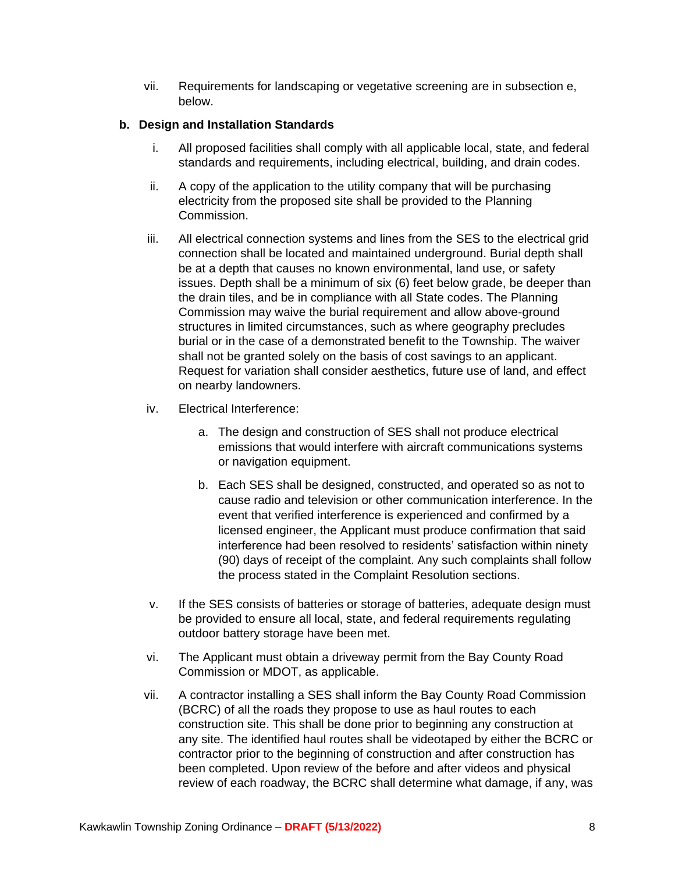vii. Requirements for landscaping or vegetative screening are in subsection e, below.

## **b. Design and Installation Standards**

- i. All proposed facilities shall comply with all applicable local, state, and federal standards and requirements, including electrical, building, and drain codes.
- ii. A copy of the application to the utility company that will be purchasing electricity from the proposed site shall be provided to the Planning Commission.
- iii. All electrical connection systems and lines from the SES to the electrical grid connection shall be located and maintained underground. Burial depth shall be at a depth that causes no known environmental, land use, or safety issues. Depth shall be a minimum of six (6) feet below grade, be deeper than the drain tiles, and be in compliance with all State codes. The Planning Commission may waive the burial requirement and allow above-ground structures in limited circumstances, such as where geography precludes burial or in the case of a demonstrated benefit to the Township. The waiver shall not be granted solely on the basis of cost savings to an applicant. Request for variation shall consider aesthetics, future use of land, and effect on nearby landowners.
- iv. Electrical Interference:
	- a. The design and construction of SES shall not produce electrical emissions that would interfere with aircraft communications systems or navigation equipment.
	- b. Each SES shall be designed, constructed, and operated so as not to cause radio and television or other communication interference. In the event that verified interference is experienced and confirmed by a licensed engineer, the Applicant must produce confirmation that said interference had been resolved to residents' satisfaction within ninety (90) days of receipt of the complaint. Any such complaints shall follow the process stated in the Complaint Resolution sections.
- v. If the SES consists of batteries or storage of batteries, adequate design must be provided to ensure all local, state, and federal requirements regulating outdoor battery storage have been met.
- vi. The Applicant must obtain a driveway permit from the Bay County Road Commission or MDOT, as applicable.
- vii. A contractor installing a SES shall inform the Bay County Road Commission (BCRC) of all the roads they propose to use as haul routes to each construction site. This shall be done prior to beginning any construction at any site. The identified haul routes shall be videotaped by either the BCRC or contractor prior to the beginning of construction and after construction has been completed. Upon review of the before and after videos and physical review of each roadway, the BCRC shall determine what damage, if any, was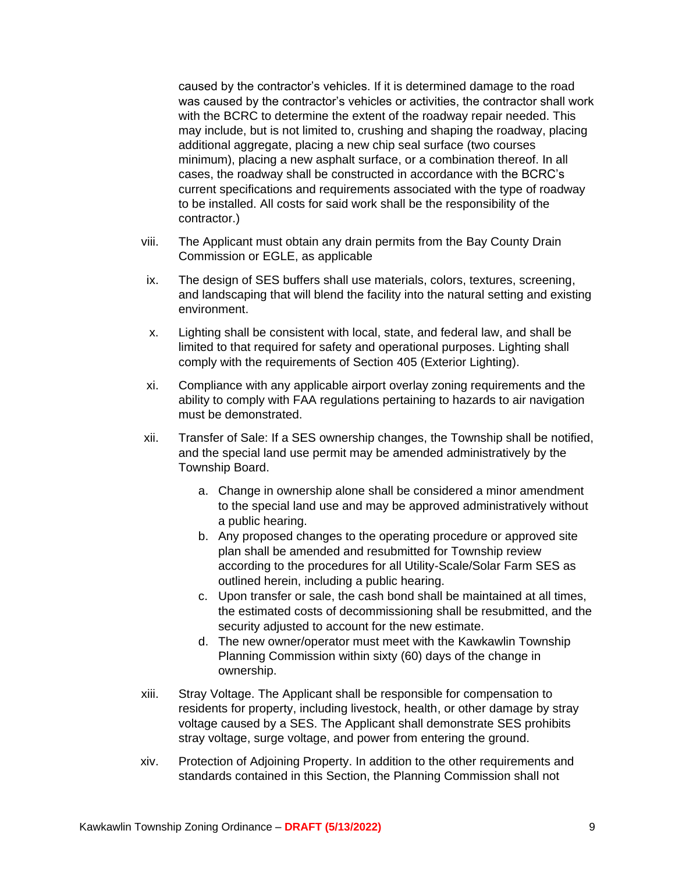caused by the contractor's vehicles. If it is determined damage to the road was caused by the contractor's vehicles or activities, the contractor shall work with the BCRC to determine the extent of the roadway repair needed. This may include, but is not limited to, crushing and shaping the roadway, placing additional aggregate, placing a new chip seal surface (two courses minimum), placing a new asphalt surface, or a combination thereof. In all cases, the roadway shall be constructed in accordance with the BCRC's current specifications and requirements associated with the type of roadway to be installed. All costs for said work shall be the responsibility of the contractor.)

- viii. The Applicant must obtain any drain permits from the Bay County Drain Commission or EGLE, as applicable
- ix. The design of SES buffers shall use materials, colors, textures, screening, and landscaping that will blend the facility into the natural setting and existing environment.
- x. Lighting shall be consistent with local, state, and federal law, and shall be limited to that required for safety and operational purposes. Lighting shall comply with the requirements of Section 405 (Exterior Lighting).
- xi. Compliance with any applicable airport overlay zoning requirements and the ability to comply with FAA regulations pertaining to hazards to air navigation must be demonstrated.
- xii. Transfer of Sale: If a SES ownership changes, the Township shall be notified, and the special land use permit may be amended administratively by the Township Board.
	- a. Change in ownership alone shall be considered a minor amendment to the special land use and may be approved administratively without a public hearing.
	- b. Any proposed changes to the operating procedure or approved site plan shall be amended and resubmitted for Township review according to the procedures for all Utility-Scale/Solar Farm SES as outlined herein, including a public hearing.
	- c. Upon transfer or sale, the cash bond shall be maintained at all times, the estimated costs of decommissioning shall be resubmitted, and the security adjusted to account for the new estimate.
	- d. The new owner/operator must meet with the Kawkawlin Township Planning Commission within sixty (60) days of the change in ownership.
- xiii. Stray Voltage. The Applicant shall be responsible for compensation to residents for property, including livestock, health, or other damage by stray voltage caused by a SES. The Applicant shall demonstrate SES prohibits stray voltage, surge voltage, and power from entering the ground.
- xiv. Protection of Adjoining Property. In addition to the other requirements and standards contained in this Section, the Planning Commission shall not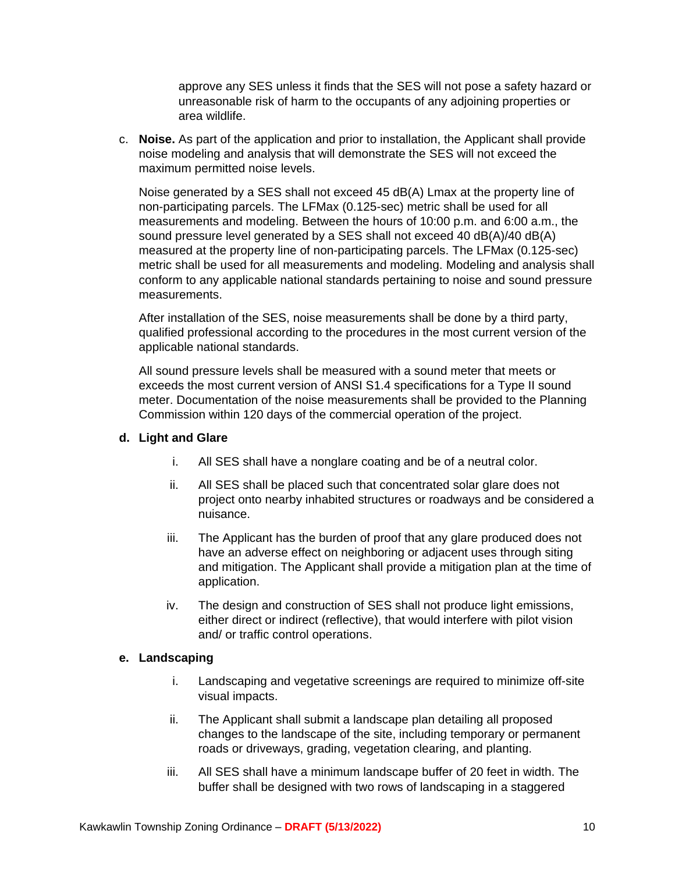approve any SES unless it finds that the SES will not pose a safety hazard or unreasonable risk of harm to the occupants of any adjoining properties or area wildlife.

c. **Noise.** As part of the application and prior to installation, the Applicant shall provide noise modeling and analysis that will demonstrate the SES will not exceed the maximum permitted noise levels.

Noise generated by a SES shall not exceed 45 dB(A) Lmax at the property line of non-participating parcels. The LFMax (0.125-sec) metric shall be used for all measurements and modeling. Between the hours of 10:00 p.m. and 6:00 a.m., the sound pressure level generated by a SES shall not exceed 40 dB(A)/40 dB(A) measured at the property line of non-participating parcels. The LFMax (0.125-sec) metric shall be used for all measurements and modeling. Modeling and analysis shall conform to any applicable national standards pertaining to noise and sound pressure measurements.

After installation of the SES, noise measurements shall be done by a third party, qualified professional according to the procedures in the most current version of the applicable national standards.

All sound pressure levels shall be measured with a sound meter that meets or exceeds the most current version of ANSI S1.4 specifications for a Type II sound meter. Documentation of the noise measurements shall be provided to the Planning Commission within 120 days of the commercial operation of the project.

#### **d. Light and Glare**

- i. All SES shall have a nonglare coating and be of a neutral color.
- ii. All SES shall be placed such that concentrated solar glare does not project onto nearby inhabited structures or roadways and be considered a nuisance.
- iii. The Applicant has the burden of proof that any glare produced does not have an adverse effect on neighboring or adjacent uses through siting and mitigation. The Applicant shall provide a mitigation plan at the time of application.
- iv. The design and construction of SES shall not produce light emissions, either direct or indirect (reflective), that would interfere with pilot vision and/ or traffic control operations.

## **e. Landscaping**

- i. Landscaping and vegetative screenings are required to minimize off-site visual impacts.
- ii. The Applicant shall submit a landscape plan detailing all proposed changes to the landscape of the site, including temporary or permanent roads or driveways, grading, vegetation clearing, and planting.
- iii. All SES shall have a minimum landscape buffer of 20 feet in width. The buffer shall be designed with two rows of landscaping in a staggered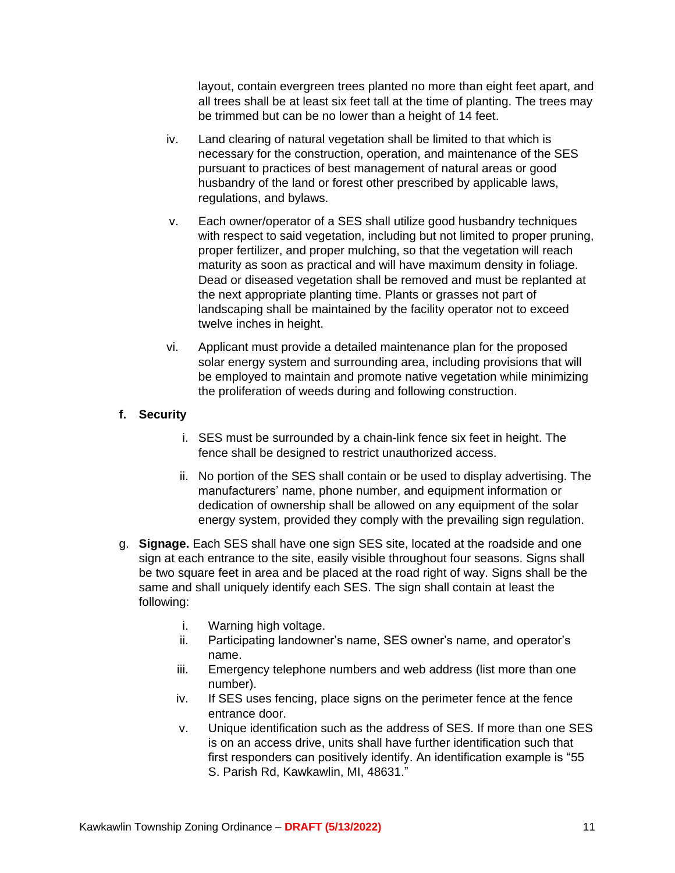layout, contain evergreen trees planted no more than eight feet apart, and all trees shall be at least six feet tall at the time of planting. The trees may be trimmed but can be no lower than a height of 14 feet.

- iv. Land clearing of natural vegetation shall be limited to that which is necessary for the construction, operation, and maintenance of the SES pursuant to practices of best management of natural areas or good husbandry of the land or forest other prescribed by applicable laws, regulations, and bylaws.
- v. Each owner/operator of a SES shall utilize good husbandry techniques with respect to said vegetation, including but not limited to proper pruning, proper fertilizer, and proper mulching, so that the vegetation will reach maturity as soon as practical and will have maximum density in foliage. Dead or diseased vegetation shall be removed and must be replanted at the next appropriate planting time. Plants or grasses not part of landscaping shall be maintained by the facility operator not to exceed twelve inches in height.
- vi. Applicant must provide a detailed maintenance plan for the proposed solar energy system and surrounding area, including provisions that will be employed to maintain and promote native vegetation while minimizing the proliferation of weeds during and following construction.

#### **f. Security**

- i. SES must be surrounded by a chain-link fence six feet in height. The fence shall be designed to restrict unauthorized access.
- ii. No portion of the SES shall contain or be used to display advertising. The manufacturers' name, phone number, and equipment information or dedication of ownership shall be allowed on any equipment of the solar energy system, provided they comply with the prevailing sign regulation.
- g. **Signage.** Each SES shall have one sign SES site, located at the roadside and one sign at each entrance to the site, easily visible throughout four seasons. Signs shall be two square feet in area and be placed at the road right of way. Signs shall be the same and shall uniquely identify each SES. The sign shall contain at least the following:
	- i. Warning high voltage.
	- ii. Participating landowner's name, SES owner's name, and operator's name.
	- iii. Emergency telephone numbers and web address (list more than one number).
	- iv. If SES uses fencing, place signs on the perimeter fence at the fence entrance door.
	- v. Unique identification such as the address of SES. If more than one SES is on an access drive, units shall have further identification such that first responders can positively identify. An identification example is "55 S. Parish Rd, Kawkawlin, MI, 48631."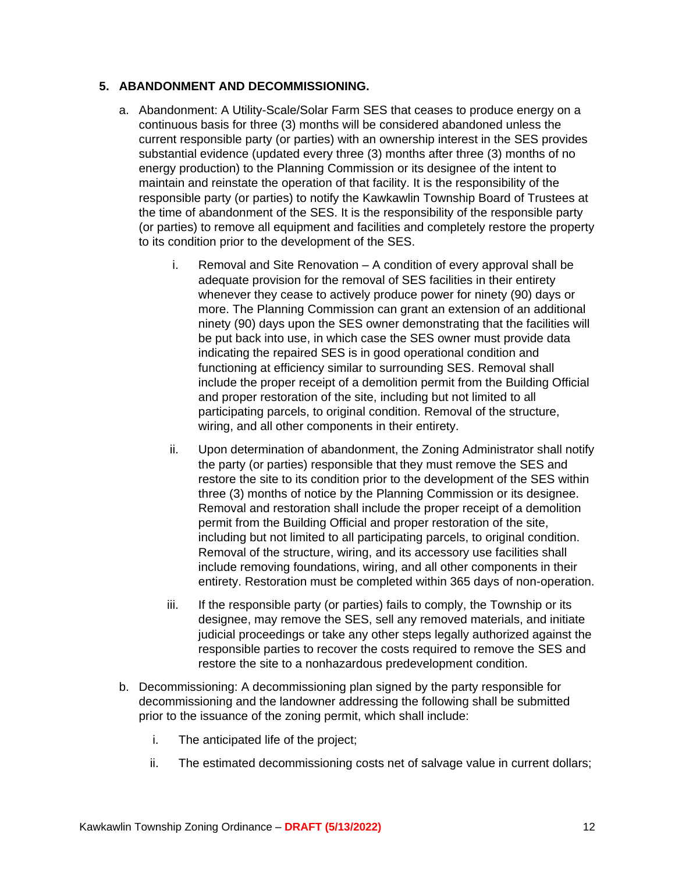#### **5. ABANDONMENT AND DECOMMISSIONING.**

- a. Abandonment: A Utility-Scale/Solar Farm SES that ceases to produce energy on a continuous basis for three (3) months will be considered abandoned unless the current responsible party (or parties) with an ownership interest in the SES provides substantial evidence (updated every three (3) months after three (3) months of no energy production) to the Planning Commission or its designee of the intent to maintain and reinstate the operation of that facility. It is the responsibility of the responsible party (or parties) to notify the Kawkawlin Township Board of Trustees at the time of abandonment of the SES. It is the responsibility of the responsible party (or parties) to remove all equipment and facilities and completely restore the property to its condition prior to the development of the SES.
	- i. Removal and Site Renovation A condition of every approval shall be adequate provision for the removal of SES facilities in their entirety whenever they cease to actively produce power for ninety (90) days or more. The Planning Commission can grant an extension of an additional ninety (90) days upon the SES owner demonstrating that the facilities will be put back into use, in which case the SES owner must provide data indicating the repaired SES is in good operational condition and functioning at efficiency similar to surrounding SES. Removal shall include the proper receipt of a demolition permit from the Building Official and proper restoration of the site, including but not limited to all participating parcels, to original condition. Removal of the structure, wiring, and all other components in their entirety.
	- ii. Upon determination of abandonment, the Zoning Administrator shall notify the party (or parties) responsible that they must remove the SES and restore the site to its condition prior to the development of the SES within three (3) months of notice by the Planning Commission or its designee. Removal and restoration shall include the proper receipt of a demolition permit from the Building Official and proper restoration of the site, including but not limited to all participating parcels, to original condition. Removal of the structure, wiring, and its accessory use facilities shall include removing foundations, wiring, and all other components in their entirety. Restoration must be completed within 365 days of non-operation.
	- iii. If the responsible party (or parties) fails to comply, the Township or its designee, may remove the SES, sell any removed materials, and initiate judicial proceedings or take any other steps legally authorized against the responsible parties to recover the costs required to remove the SES and restore the site to a nonhazardous predevelopment condition.
- b. Decommissioning: A decommissioning plan signed by the party responsible for decommissioning and the landowner addressing the following shall be submitted prior to the issuance of the zoning permit, which shall include:
	- i. The anticipated life of the project;
	- ii. The estimated decommissioning costs net of salvage value in current dollars;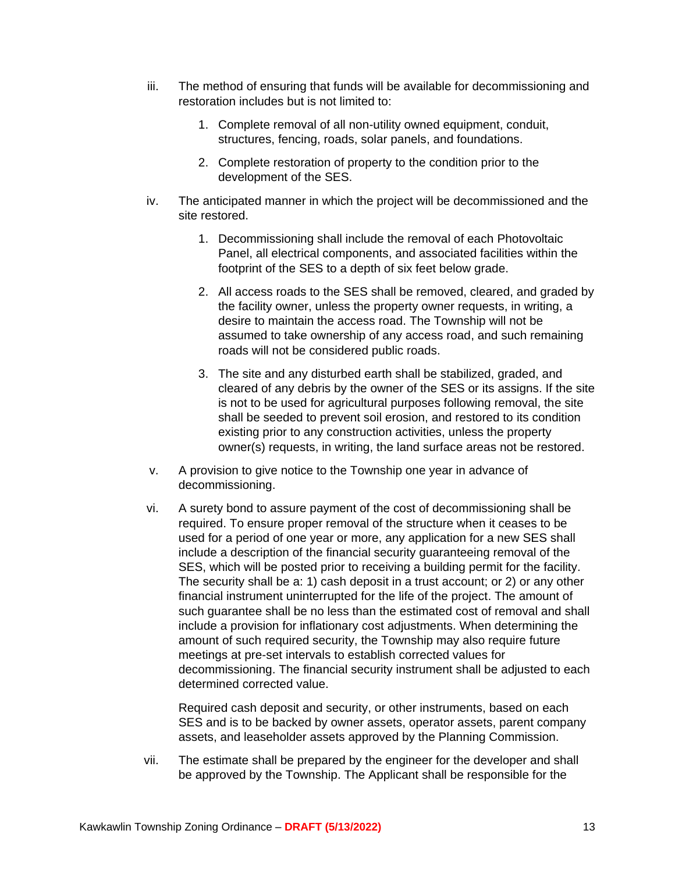- iii. The method of ensuring that funds will be available for decommissioning and restoration includes but is not limited to:
	- 1. Complete removal of all non-utility owned equipment, conduit, structures, fencing, roads, solar panels, and foundations.
	- 2. Complete restoration of property to the condition prior to the development of the SES.
- iv. The anticipated manner in which the project will be decommissioned and the site restored.
	- 1. Decommissioning shall include the removal of each Photovoltaic Panel, all electrical components, and associated facilities within the footprint of the SES to a depth of six feet below grade.
	- 2. All access roads to the SES shall be removed, cleared, and graded by the facility owner, unless the property owner requests, in writing, a desire to maintain the access road. The Township will not be assumed to take ownership of any access road, and such remaining roads will not be considered public roads.
	- 3. The site and any disturbed earth shall be stabilized, graded, and cleared of any debris by the owner of the SES or its assigns. If the site is not to be used for agricultural purposes following removal, the site shall be seeded to prevent soil erosion, and restored to its condition existing prior to any construction activities, unless the property owner(s) requests, in writing, the land surface areas not be restored.
- v. A provision to give notice to the Township one year in advance of decommissioning.
- vi. A surety bond to assure payment of the cost of decommissioning shall be required. To ensure proper removal of the structure when it ceases to be used for a period of one year or more, any application for a new SES shall include a description of the financial security guaranteeing removal of the SES, which will be posted prior to receiving a building permit for the facility. The security shall be a: 1) cash deposit in a trust account; or 2) or any other financial instrument uninterrupted for the life of the project. The amount of such guarantee shall be no less than the estimated cost of removal and shall include a provision for inflationary cost adjustments. When determining the amount of such required security, the Township may also require future meetings at pre-set intervals to establish corrected values for decommissioning. The financial security instrument shall be adjusted to each determined corrected value.

Required cash deposit and security, or other instruments, based on each SES and is to be backed by owner assets, operator assets, parent company assets, and leaseholder assets approved by the Planning Commission.

vii. The estimate shall be prepared by the engineer for the developer and shall be approved by the Township. The Applicant shall be responsible for the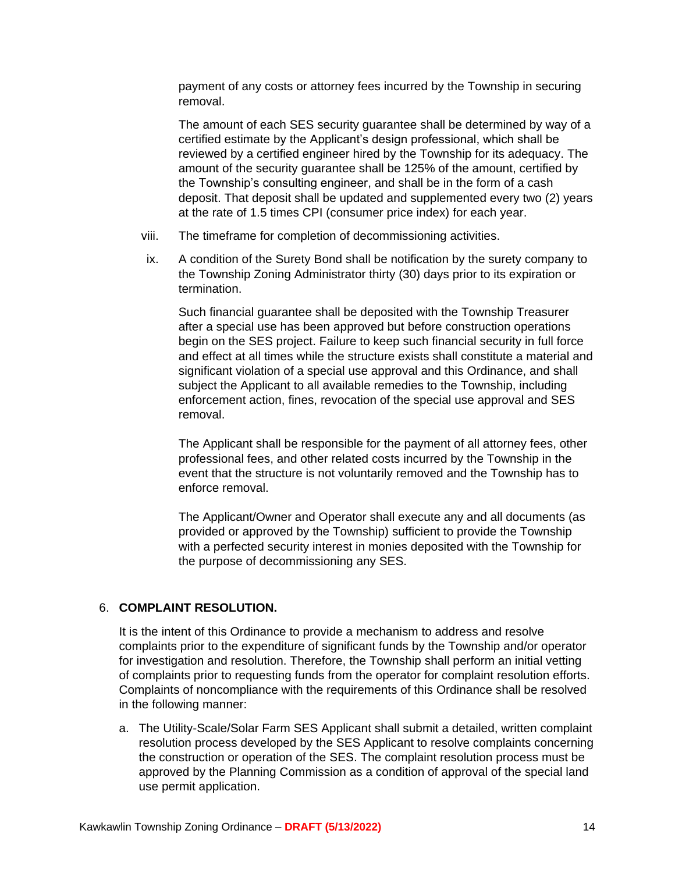payment of any costs or attorney fees incurred by the Township in securing removal.

The amount of each SES security guarantee shall be determined by way of a certified estimate by the Applicant's design professional, which shall be reviewed by a certified engineer hired by the Township for its adequacy. The amount of the security guarantee shall be 125% of the amount, certified by the Township's consulting engineer, and shall be in the form of a cash deposit. That deposit shall be updated and supplemented every two (2) years at the rate of 1.5 times CPI (consumer price index) for each year.

- viii. The timeframe for completion of decommissioning activities.
- ix. A condition of the Surety Bond shall be notification by the surety company to the Township Zoning Administrator thirty (30) days prior to its expiration or termination.

Such financial guarantee shall be deposited with the Township Treasurer after a special use has been approved but before construction operations begin on the SES project. Failure to keep such financial security in full force and effect at all times while the structure exists shall constitute a material and significant violation of a special use approval and this Ordinance, and shall subject the Applicant to all available remedies to the Township, including enforcement action, fines, revocation of the special use approval and SES removal.

The Applicant shall be responsible for the payment of all attorney fees, other professional fees, and other related costs incurred by the Township in the event that the structure is not voluntarily removed and the Township has to enforce removal.

The Applicant/Owner and Operator shall execute any and all documents (as provided or approved by the Township) sufficient to provide the Township with a perfected security interest in monies deposited with the Township for the purpose of decommissioning any SES.

## 6. **COMPLAINT RESOLUTION.**

It is the intent of this Ordinance to provide a mechanism to address and resolve complaints prior to the expenditure of significant funds by the Township and/or operator for investigation and resolution. Therefore, the Township shall perform an initial vetting of complaints prior to requesting funds from the operator for complaint resolution efforts. Complaints of noncompliance with the requirements of this Ordinance shall be resolved in the following manner:

a. The Utility-Scale/Solar Farm SES Applicant shall submit a detailed, written complaint resolution process developed by the SES Applicant to resolve complaints concerning the construction or operation of the SES. The complaint resolution process must be approved by the Planning Commission as a condition of approval of the special land use permit application.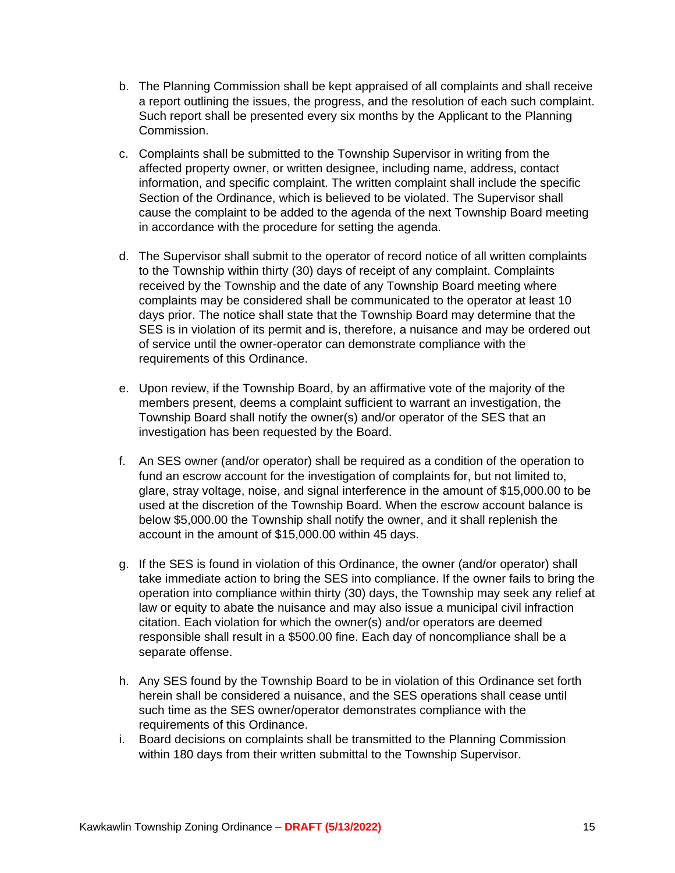- b. The Planning Commission shall be kept appraised of all complaints and shall receive a report outlining the issues, the progress, and the resolution of each such complaint. Such report shall be presented every six months by the Applicant to the Planning Commission.
- c. Complaints shall be submitted to the Township Supervisor in writing from the affected property owner, or written designee, including name, address, contact information, and specific complaint. The written complaint shall include the specific Section of the Ordinance, which is believed to be violated. The Supervisor shall cause the complaint to be added to the agenda of the next Township Board meeting in accordance with the procedure for setting the agenda.
- d. The Supervisor shall submit to the operator of record notice of all written complaints to the Township within thirty (30) days of receipt of any complaint. Complaints received by the Township and the date of any Township Board meeting where complaints may be considered shall be communicated to the operator at least 10 days prior. The notice shall state that the Township Board may determine that the SES is in violation of its permit and is, therefore, a nuisance and may be ordered out of service until the owner-operator can demonstrate compliance with the requirements of this Ordinance.
- e. Upon review, if the Township Board, by an affirmative vote of the majority of the members present, deems a complaint sufficient to warrant an investigation, the Township Board shall notify the owner(s) and/or operator of the SES that an investigation has been requested by the Board.
- f. An SES owner (and/or operator) shall be required as a condition of the operation to fund an escrow account for the investigation of complaints for, but not limited to, glare, stray voltage, noise, and signal interference in the amount of \$15,000.00 to be used at the discretion of the Township Board. When the escrow account balance is below \$5,000.00 the Township shall notify the owner, and it shall replenish the account in the amount of \$15,000.00 within 45 days.
- g. If the SES is found in violation of this Ordinance, the owner (and/or operator) shall take immediate action to bring the SES into compliance. If the owner fails to bring the operation into compliance within thirty (30) days, the Township may seek any relief at law or equity to abate the nuisance and may also issue a municipal civil infraction citation. Each violation for which the owner(s) and/or operators are deemed responsible shall result in a \$500.00 fine. Each day of noncompliance shall be a separate offense.
- h. Any SES found by the Township Board to be in violation of this Ordinance set forth herein shall be considered a nuisance, and the SES operations shall cease until such time as the SES owner/operator demonstrates compliance with the requirements of this Ordinance.
- i. Board decisions on complaints shall be transmitted to the Planning Commission within 180 days from their written submittal to the Township Supervisor.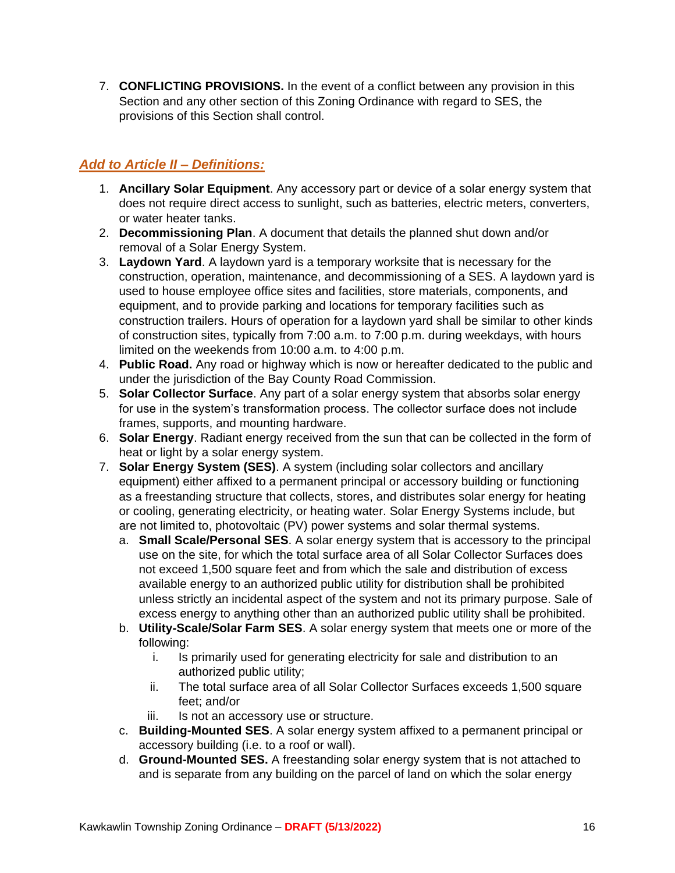7. **CONFLICTING PROVISIONS.** In the event of a conflict between any provision in this Section and any other section of this Zoning Ordinance with regard to SES, the provisions of this Section shall control.

# *Add to Article II – Definitions:*

- 1. **Ancillary Solar Equipment**. Any accessory part or device of a solar energy system that does not require direct access to sunlight, such as batteries, electric meters, converters, or water heater tanks.
- 2. **Decommissioning Plan**. A document that details the planned shut down and/or removal of a Solar Energy System.
- 3. **Laydown Yard**. A laydown yard is a temporary worksite that is necessary for the construction, operation, maintenance, and decommissioning of a SES. A laydown yard is used to house employee office sites and facilities, store materials, components, and equipment, and to provide parking and locations for temporary facilities such as construction trailers. Hours of operation for a laydown yard shall be similar to other kinds of construction sites, typically from 7:00 a.m. to 7:00 p.m. during weekdays, with hours limited on the weekends from 10:00 a.m. to 4:00 p.m.
- 4. **Public Road.** Any road or highway which is now or hereafter dedicated to the public and under the jurisdiction of the Bay County Road Commission.
- 5. **Solar Collector Surface**. Any part of a solar energy system that absorbs solar energy for use in the system's transformation process. The collector surface does not include frames, supports, and mounting hardware.
- 6. **Solar Energy**. Radiant energy received from the sun that can be collected in the form of heat or light by a solar energy system.
- 7. **Solar Energy System (SES)**. A system (including solar collectors and ancillary equipment) either affixed to a permanent principal or accessory building or functioning as a freestanding structure that collects, stores, and distributes solar energy for heating or cooling, generating electricity, or heating water. Solar Energy Systems include, but are not limited to, photovoltaic (PV) power systems and solar thermal systems.
	- a. **Small Scale/Personal SES**. A solar energy system that is accessory to the principal use on the site, for which the total surface area of all Solar Collector Surfaces does not exceed 1,500 square feet and from which the sale and distribution of excess available energy to an authorized public utility for distribution shall be prohibited unless strictly an incidental aspect of the system and not its primary purpose. Sale of excess energy to anything other than an authorized public utility shall be prohibited.
	- b. **Utility-Scale/Solar Farm SES**. A solar energy system that meets one or more of the following:
		- i. Is primarily used for generating electricity for sale and distribution to an authorized public utility;
		- ii. The total surface area of all Solar Collector Surfaces exceeds 1,500 square feet; and/or
		- iii. Is not an accessory use or structure.
	- c. **Building-Mounted SES**. A solar energy system affixed to a permanent principal or accessory building (i.e. to a roof or wall).
	- d. **Ground-Mounted SES.** A freestanding solar energy system that is not attached to and is separate from any building on the parcel of land on which the solar energy